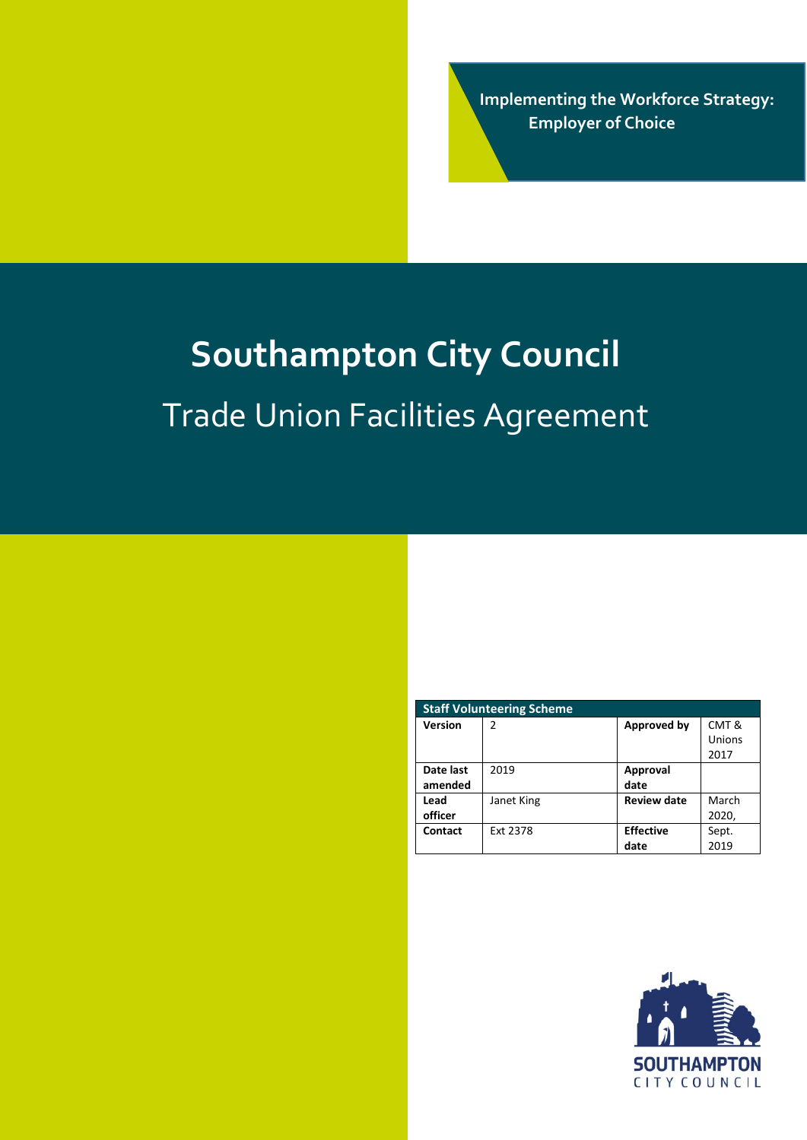**Implementing the Workforce Strategy: Employer of Choice**

# **Southampton City Council**  Trade Union Facilities Agreement

| <b>Staff Volunteering Scheme</b> |            |                    |        |
|----------------------------------|------------|--------------------|--------|
| <b>Version</b>                   | 2          | Approved by        | CMT &  |
|                                  |            |                    | Unions |
|                                  |            |                    | 2017   |
| Date last                        | 2019       | Approval           |        |
| amended                          |            | date               |        |
| Lead                             | Janet King | <b>Review date</b> | March  |
| officer                          |            |                    | 2020,  |
| Contact                          | Ext 2378   | <b>Effective</b>   | Sept.  |
|                                  |            | date               | 2019   |

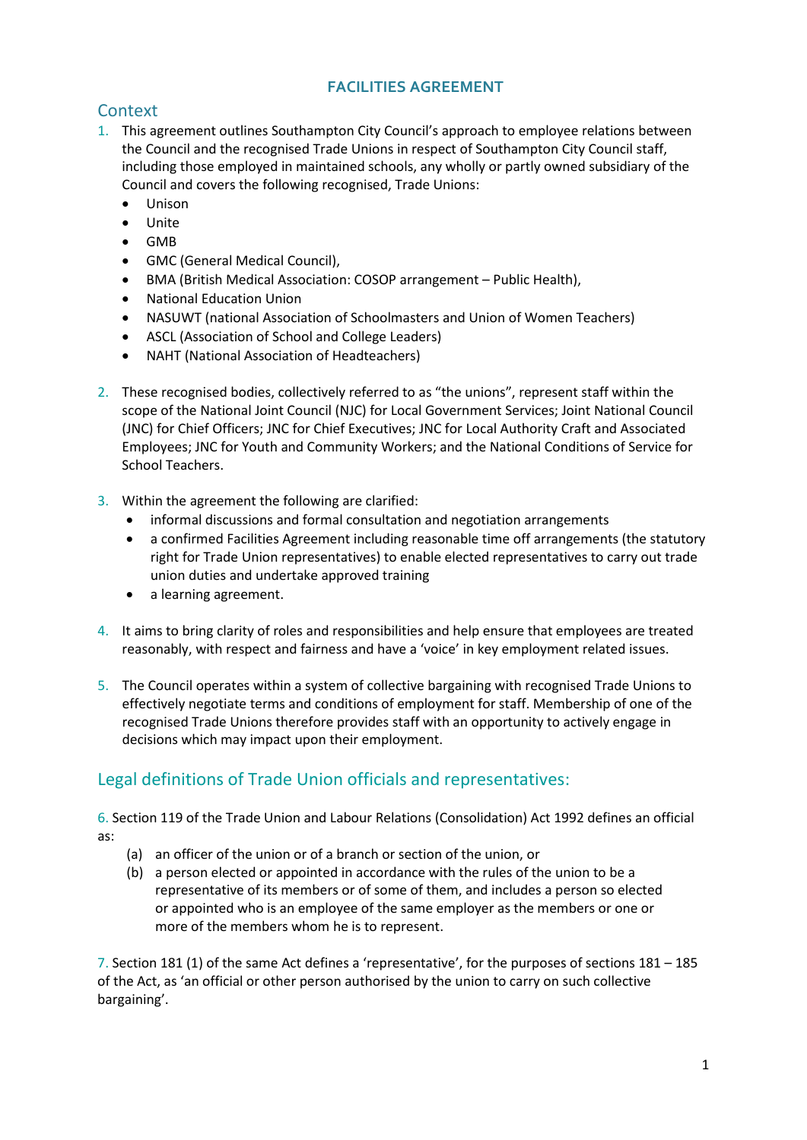## **FACILITIES AGREEMENT**

# **Context**

- 1. This agreement outlines Southampton City Council's approach to employee relations between the Council and the recognised Trade Unions in respect of Southampton City Council staff, including those employed in maintained schools, any wholly or partly owned subsidiary of the Council and covers the following recognised, Trade Unions:
	- Unison
	- Unite
	- GMB
	- GMC (General Medical Council),
	- BMA (British Medical Association: COSOP arrangement Public Health),
	- National Education Union
	- NASUWT (national Association of Schoolmasters and Union of Women Teachers)
	- ASCL (Association of School and College Leaders)
	- NAHT (National Association of Headteachers)
- 2. These recognised bodies, collectively referred to as "the unions", represent staff within the scope of the National Joint Council (NJC) for Local Government Services; Joint National Council (JNC) for Chief Officers; JNC for Chief Executives; JNC for Local Authority Craft and Associated Employees; JNC for Youth and Community Workers; and the National Conditions of Service for School Teachers.
- 3. Within the agreement the following are clarified:
	- informal discussions and formal consultation and negotiation arrangements
	- a confirmed Facilities Agreement including reasonable time off arrangements (the statutory right for Trade Union representatives) to enable elected representatives to carry out trade union duties and undertake approved training
	- a learning agreement.
- 4. It aims to bring clarity of roles and responsibilities and help ensure that employees are treated reasonably, with respect and fairness and have a 'voice' in key employment related issues.
- 5. The Council operates within a system of collective bargaining with recognised Trade Unions to effectively negotiate terms and conditions of employment for staff. Membership of one of the recognised Trade Unions therefore provides staff with an opportunity to actively engage in decisions which may impact upon their employment.

# Legal definitions of Trade Union officials and representatives:

6. Section 119 of the Trade Union and Labour Relations (Consolidation) Act 1992 defines an official as:

- (a) an officer of the union or of a branch or section of the union, or
- (b) a person elected or appointed in accordance with the rules of the union to be a representative of its members or of some of them, and includes a person so elected or appointed who is an employee of the same employer as the members or one or more of the members whom he is to represent.

7. Section 181 (1) of the same Act defines a 'representative', for the purposes of sections 181 – 185 of the Act, as 'an official or other person authorised by the union to carry on such collective bargaining'.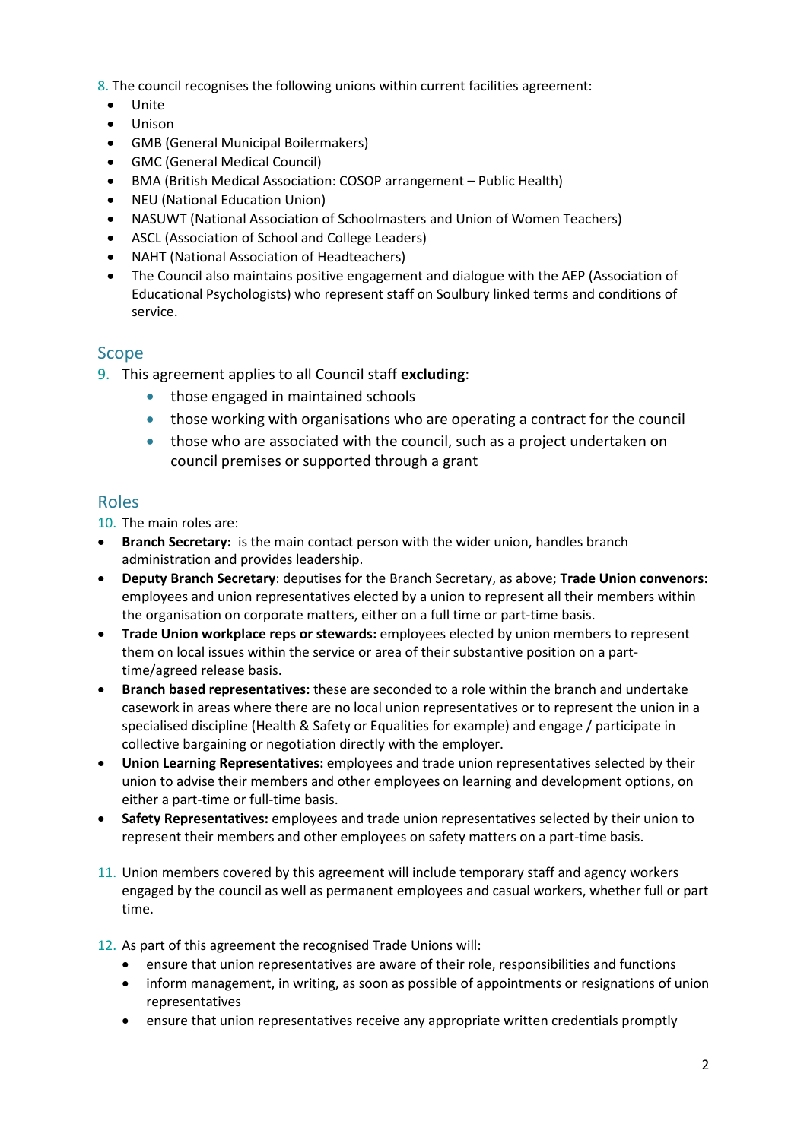8. The council recognises the following unions within current facilities agreement:

- Unite
- Unison
- GMB (General Municipal Boilermakers)
- GMC (General Medical Council)
- BMA (British Medical Association: COSOP arrangement Public Health)
- NEU (National Education Union)
- NASUWT (National Association of Schoolmasters and Union of Women Teachers)
- ASCL (Association of School and College Leaders)
- NAHT (National Association of Headteachers)
- The Council also maintains positive engagement and dialogue with the AEP (Association of Educational Psychologists) who represent staff on Soulbury linked terms and conditions of service.

### Scope

- 9. This agreement applies to all Council staff **excluding**:
	- those engaged in maintained schools
	- those working with organisations who are operating a contract for the council
	- those who are associated with the council, such as a project undertaken on council premises or supported through a grant

### Roles

10. The main roles are:

- **Branch Secretary:** is the main contact person with the wider union, handles branch administration and provides leadership.
- **Deputy Branch Secretary**: deputises for the Branch Secretary, as above; **Trade Union convenors:** employees and union representatives elected by a union to represent all their members within the organisation on corporate matters, either on a full time or part-time basis.
- **Trade Union workplace reps or stewards:** employees elected by union members to represent them on local issues within the service or area of their substantive position on a parttime/agreed release basis.
- **Branch based representatives:** these are seconded to a role within the branch and undertake casework in areas where there are no local union representatives or to represent the union in a specialised discipline (Health & Safety or Equalities for example) and engage / participate in collective bargaining or negotiation directly with the employer.
- **Union Learning Representatives:** employees and trade union representatives selected by their union to advise their members and other employees on learning and development options, on either a part-time or full-time basis.
- **Safety Representatives:** employees and trade union representatives selected by their union to represent their members and other employees on safety matters on a part-time basis.
- 11. Union members covered by this agreement will include temporary staff and agency workers engaged by the council as well as permanent employees and casual workers, whether full or part time.
- 12. As part of this agreement the recognised Trade Unions will:
	- ensure that union representatives are aware of their role, responsibilities and functions
	- inform management, in writing, as soon as possible of appointments or resignations of union representatives
	- ensure that union representatives receive any appropriate written credentials promptly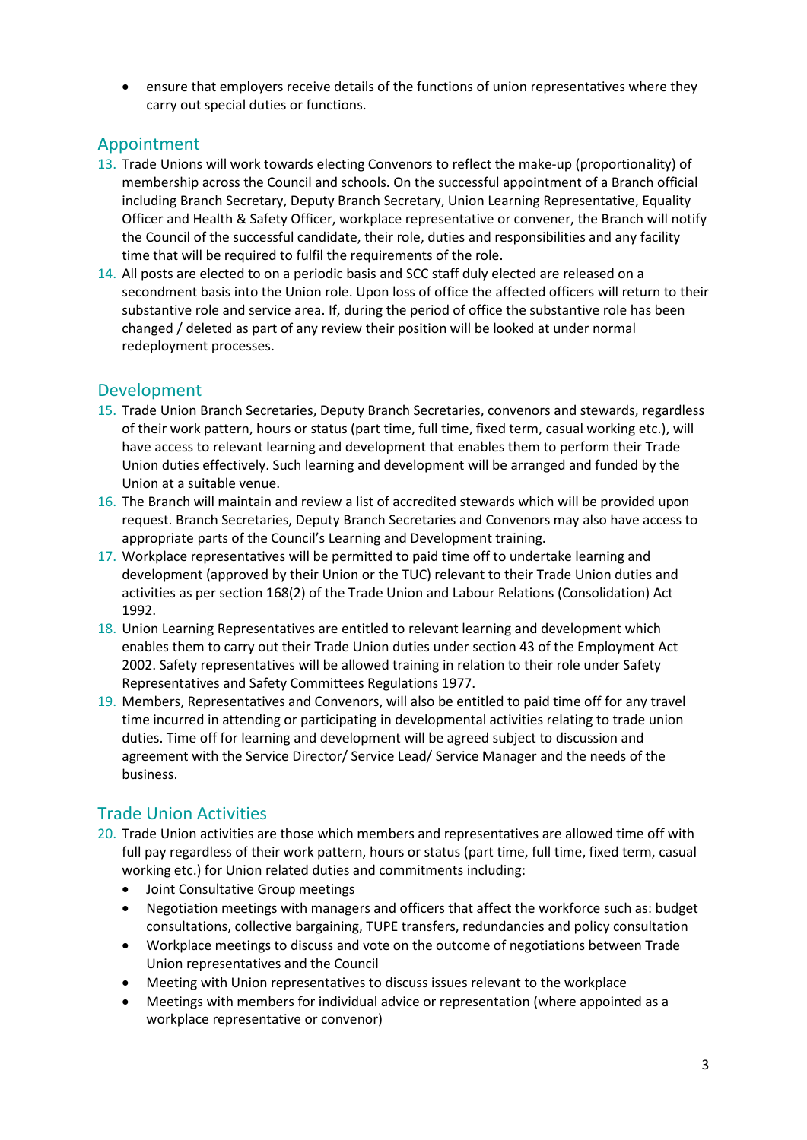• ensure that employers receive details of the functions of union representatives where they carry out special duties or functions.

### Appointment

- 13. Trade Unions will work towards electing Convenors to reflect the make-up (proportionality) of membership across the Council and schools. On the successful appointment of a Branch official including Branch Secretary, Deputy Branch Secretary, Union Learning Representative, Equality Officer and Health & Safety Officer, workplace representative or convener, the Branch will notify the Council of the successful candidate, their role, duties and responsibilities and any facility time that will be required to fulfil the requirements of the role.
- 14. All posts are elected to on a periodic basis and SCC staff duly elected are released on a secondment basis into the Union role. Upon loss of office the affected officers will return to their substantive role and service area. If, during the period of office the substantive role has been changed / deleted as part of any review their position will be looked at under normal redeployment processes.

## Development

- 15. Trade Union Branch Secretaries, Deputy Branch Secretaries, convenors and stewards, regardless of their work pattern, hours or status (part time, full time, fixed term, casual working etc.), will have access to relevant learning and development that enables them to perform their Trade Union duties effectively. Such learning and development will be arranged and funded by the Union at a suitable venue.
- 16. The Branch will maintain and review a list of accredited stewards which will be provided upon request. Branch Secretaries, Deputy Branch Secretaries and Convenors may also have access to appropriate parts of the Council's Learning and Development training.
- 17. Workplace representatives will be permitted to paid time off to undertake learning and development (approved by their Union or the TUC) relevant to their Trade Union duties and activities as per section 168(2) of the Trade Union and Labour Relations (Consolidation) Act 1992.
- 18. Union Learning Representatives are entitled to relevant learning and development which enables them to carry out their Trade Union duties under section 43 of the Employment Act 2002. Safety representatives will be allowed training in relation to their role under Safety Representatives and Safety Committees Regulations 1977.
- 19. Members, Representatives and Convenors, will also be entitled to paid time off for any travel time incurred in attending or participating in developmental activities relating to trade union duties. Time off for learning and development will be agreed subject to discussion and agreement with the Service Director/ Service Lead/ Service Manager and the needs of the business.

### Trade Union Activities

- 20. Trade Union activities are those which members and representatives are allowed time off with full pay regardless of their work pattern, hours or status (part time, full time, fixed term, casual working etc.) for Union related duties and commitments including:
	- Joint Consultative Group meetings
	- Negotiation meetings with managers and officers that affect the workforce such as: budget consultations, collective bargaining, TUPE transfers, redundancies and policy consultation
	- Workplace meetings to discuss and vote on the outcome of negotiations between Trade Union representatives and the Council
	- Meeting with Union representatives to discuss issues relevant to the workplace
	- Meetings with members for individual advice or representation (where appointed as a workplace representative or convenor)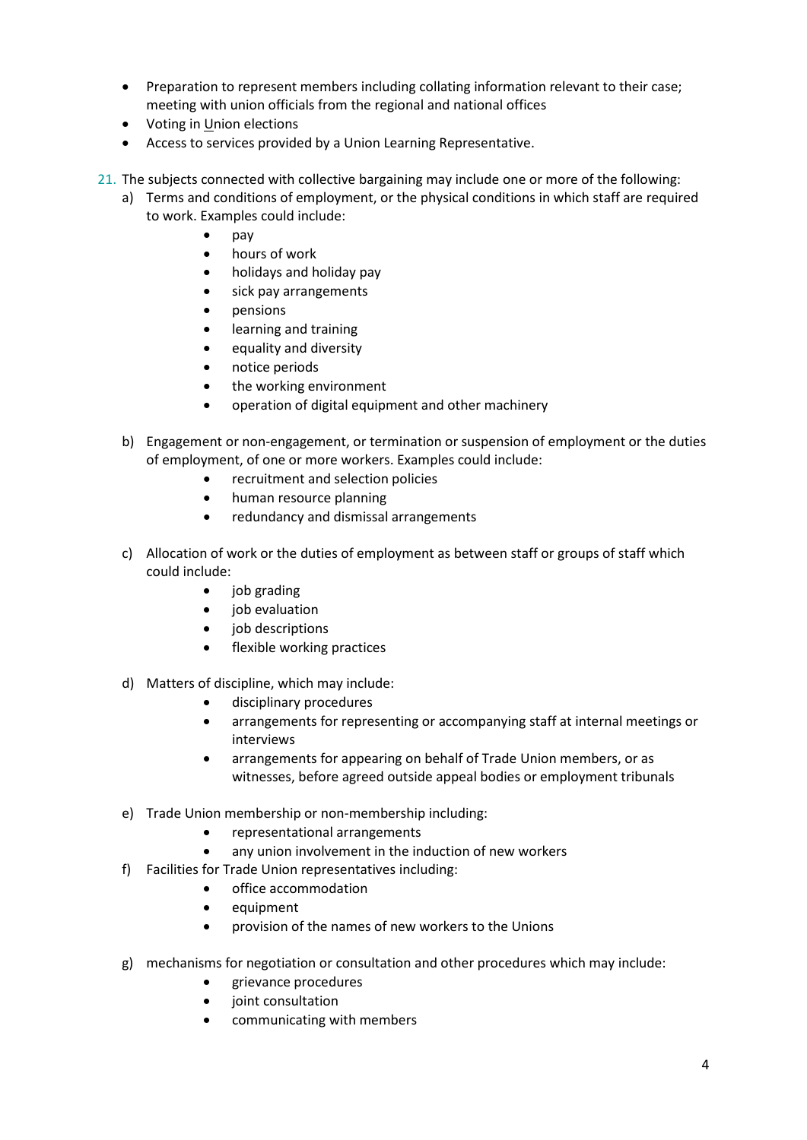- Preparation to represent members including collating information relevant to their case; meeting with union officials from the regional and national offices
- Voting in Union elections
- Access to services provided by a Union Learning Representative.
- 21. The subjects connected with collective bargaining may include one or more of the following:
	- a) Terms and conditions of employment, or the physical conditions in which staff are required to work. Examples could include:
		- pay
		- hours of work
		- holidays and holiday pay
		- sick pay arrangements
		- pensions
		- learning and training
		- equality and diversity
		- notice periods
		- the working environment
		- operation of digital equipment and other machinery
	- b) Engagement or non-engagement, or termination or suspension of employment or the duties of employment, of one or more workers. Examples could include:
		- recruitment and selection policies
		- human resource planning
		- redundancy and dismissal arrangements
	- c) Allocation of work or the duties of employment as between staff or groups of staff which could include:
		- job grading
		- job evaluation
		- job descriptions
		- flexible working practices
	- d) Matters of discipline, which may include:
		- disciplinary procedures
		- arrangements for representing or accompanying staff at internal meetings or interviews
		- arrangements for appearing on behalf of Trade Union members, or as witnesses, before agreed outside appeal bodies or employment tribunals
	- e) Trade Union membership or non-membership including:
		- representational arrangements
		- any union involvement in the induction of new workers
	- f) Facilities for Trade Union representatives including:
		- office accommodation
		- equipment
		- provision of the names of new workers to the Unions
	- g) mechanisms for negotiation or consultation and other procedures which may include:
		- grievance procedures
		- joint consultation
		- communicating with members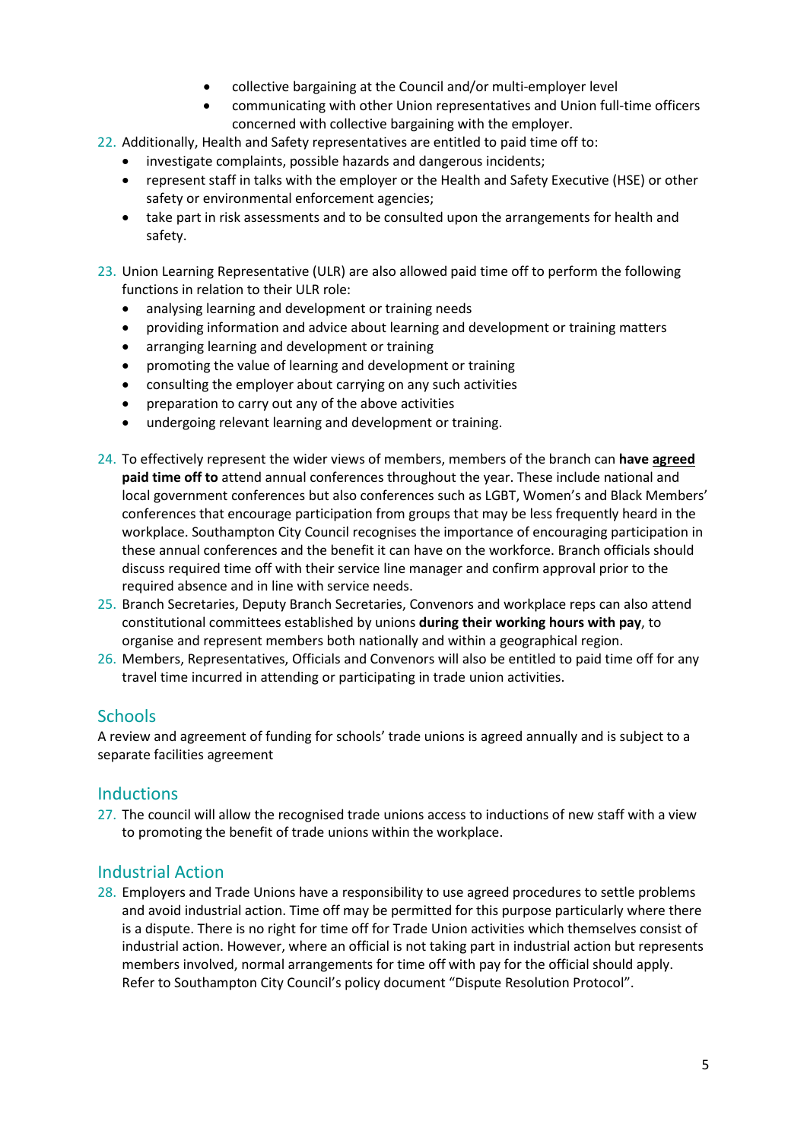- collective bargaining at the Council and/or multi-employer level
- communicating with other Union representatives and Union full-time officers concerned with collective bargaining with the employer.
- 22. Additionally, Health and Safety representatives are entitled to paid time off to:
	- investigate complaints, possible hazards and dangerous incidents;
	- represent staff in talks with the employer or the Health and Safety Executive (HSE) or other safety or environmental enforcement agencies;
	- take part in risk assessments and to be consulted upon the arrangements for health and safety.
- 23. Union Learning Representative (ULR) are also allowed paid time off to perform the following functions in relation to their ULR role:
	- analysing learning and development or training needs
	- providing information and advice about learning and development or training matters
	- arranging learning and development or training
	- promoting the value of learning and development or training
	- consulting the employer about carrying on any such activities
	- preparation to carry out any of the above activities
	- undergoing relevant learning and development or training.
- 24. To effectively represent the wider views of members, members of the branch can **have agreed paid time off to** attend annual conferences throughout the year. These include national and local government conferences but also conferences such as LGBT, Women's and Black Members' conferences that encourage participation from groups that may be less frequently heard in the workplace. Southampton City Council recognises the importance of encouraging participation in these annual conferences and the benefit it can have on the workforce. Branch officials should discuss required time off with their service line manager and confirm approval prior to the required absence and in line with service needs.
- 25. Branch Secretaries, Deputy Branch Secretaries, Convenors and workplace reps can also attend constitutional committees established by unions **during their working hours with pay**, to organise and represent members both nationally and within a geographical region.
- 26. Members, Representatives, Officials and Convenors will also be entitled to paid time off for any travel time incurred in attending or participating in trade union activities.

#### **Schools**

A review and agreement of funding for schools' trade unions is agreed annually and is subject to a separate facilities agreement

#### **Inductions**

27. The council will allow the recognised trade unions access to inductions of new staff with a view to promoting the benefit of trade unions within the workplace.

#### Industrial Action

28. Employers and Trade Unions have a responsibility to use agreed procedures to settle problems and avoid industrial action. Time off may be permitted for this purpose particularly where there is a dispute. There is no right for time off for Trade Union activities which themselves consist of industrial action. However, where an official is not taking part in industrial action but represents members involved, normal arrangements for time off with pay for the official should apply. Refer to Southampton City Council's policy document "Dispute Resolution Protocol".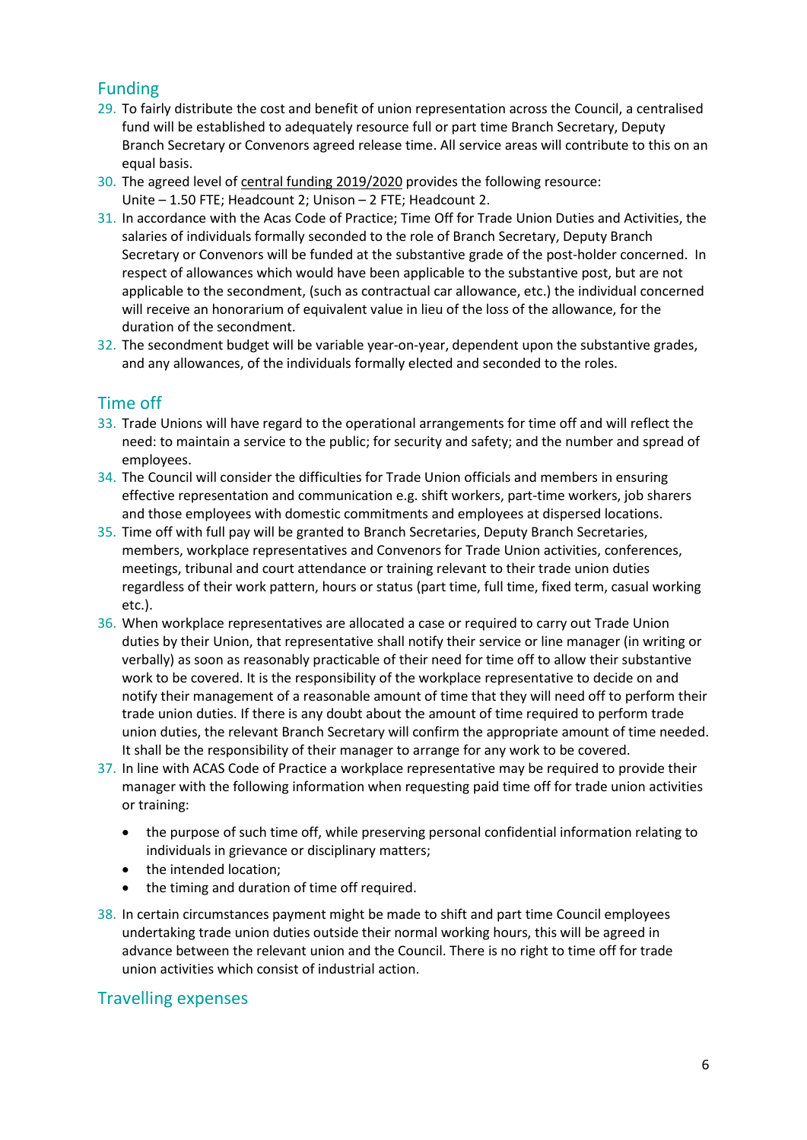# Funding

- 29. To fairly distribute the cost and benefit of union representation across the Council, a centralised fund will be established to adequately resource full or part time Branch Secretary, Deputy Branch Secretary or Convenors agreed release time. All service areas will contribute to this on an equal basis.
- 30. The agreed level of central funding 2019/2020 provides the following resource: Unite – 1.50 FTE; Headcount 2; Unison – 2 FTE; Headcount 2.
- 31. In accordance with the Acas Code of Practice; Time Off for Trade Union Duties and Activities, the salaries of individuals formally seconded to the role of Branch Secretary, Deputy Branch Secretary or Convenors will be funded at the substantive grade of the post-holder concerned. In respect of allowances which would have been applicable to the substantive post, but are not applicable to the secondment, (such as contractual car allowance, etc.) the individual concerned will receive an honorarium of equivalent value in lieu of the loss of the allowance, for the duration of the secondment.
- 32. The secondment budget will be variable year-on-year, dependent upon the substantive grades, and any allowances, of the individuals formally elected and seconded to the roles.

# Time off

- 33. Trade Unions will have regard to the operational arrangements for time off and will reflect the need: to maintain a service to the public; for security and safety; and the number and spread of employees.
- 34. The Council will consider the difficulties for Trade Union officials and members in ensuring effective representation and communication e.g. shift workers, part-time workers, job sharers and those employees with domestic commitments and employees at dispersed locations.
- 35. Time off with full pay will be granted to Branch Secretaries, Deputy Branch Secretaries, members, workplace representatives and Convenors for Trade Union activities, conferences, meetings, tribunal and court attendance or training relevant to their trade union duties regardless of their work pattern, hours or status (part time, full time, fixed term, casual working etc.).
- 36. When workplace representatives are allocated a case or required to carry out Trade Union duties by their Union, that representative shall notify their service or line manager (in writing or verbally) as soon as reasonably practicable of their need for time off to allow their substantive work to be covered. It is the responsibility of the workplace representative to decide on and notify their management of a reasonable amount of time that they will need off to perform their trade union duties. If there is any doubt about the amount of time required to perform trade union duties, the relevant Branch Secretary will confirm the appropriate amount of time needed. It shall be the responsibility of their manager to arrange for any work to be covered.
- 37. In line with ACAS Code of Practice a workplace representative may be required to provide their manager with the following information when requesting paid time off for trade union activities or training:
	- the purpose of such time off, while preserving personal confidential information relating to individuals in grievance or disciplinary matters;
	- the intended location;
	- the timing and duration of time off required.
- 38. In certain circumstances payment might be made to shift and part time Council employees undertaking trade union duties outside their normal working hours, this will be agreed in advance between the relevant union and the Council. There is no right to time off for trade union activities which consist of industrial action.

## Travelling expenses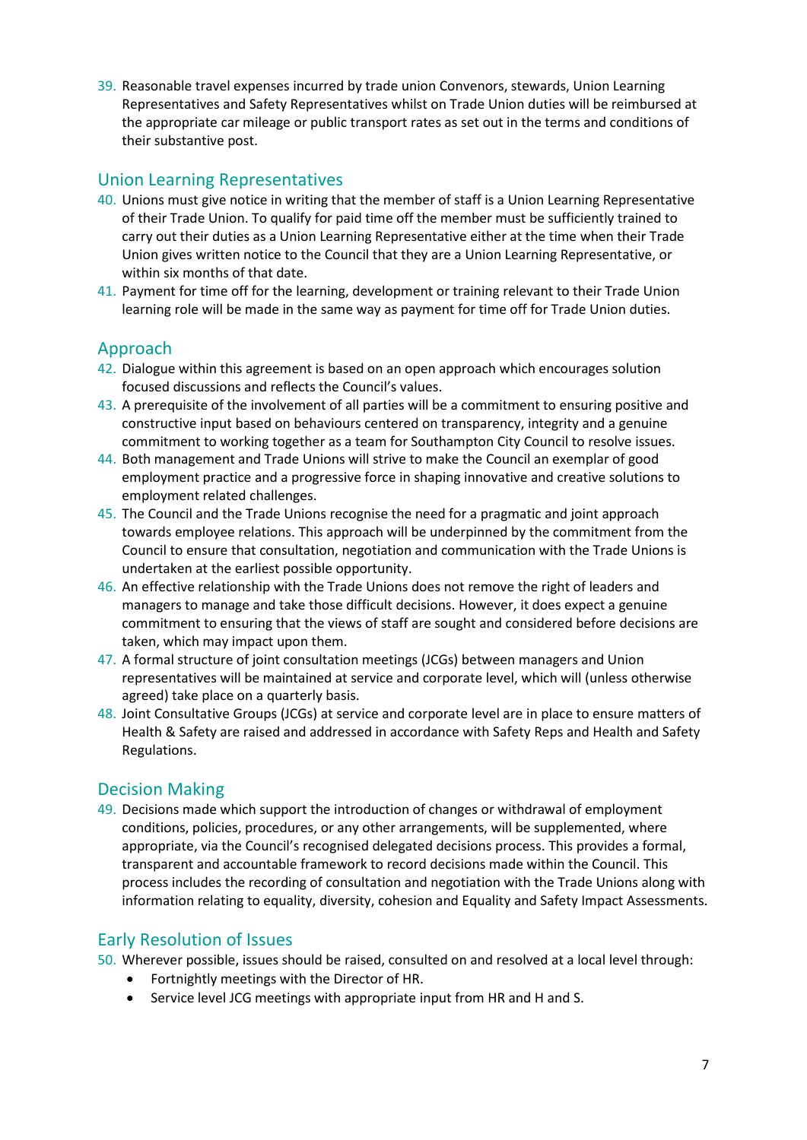39. Reasonable travel expenses incurred by trade union Convenors, stewards, Union Learning Representatives and Safety Representatives whilst on Trade Union duties will be reimbursed at the appropriate car mileage or public transport rates as set out in the terms and conditions of their substantive post.

## Union Learning Representatives

- 40. Unions must give notice in writing that the member of staff is a Union Learning Representative of their Trade Union. To qualify for paid time off the member must be sufficiently trained to carry out their duties as a Union Learning Representative either at the time when their Trade Union gives written notice to the Council that they are a Union Learning Representative, or within six months of that date.
- 41. Payment for time off for the learning, development or training relevant to their Trade Union learning role will be made in the same way as payment for time off for Trade Union duties.

## Approach

- 42. Dialogue within this agreement is based on an open approach which encourages solution focused discussions and reflects the Council's values.
- 43. A prerequisite of the involvement of all parties will be a commitment to ensuring positive and constructive input based on behaviours centered on transparency, integrity and a genuine commitment to working together as a team for Southampton City Council to resolve issues.
- 44. Both management and Trade Unions will strive to make the Council an exemplar of good employment practice and a progressive force in shaping innovative and creative solutions to employment related challenges.
- 45. The Council and the Trade Unions recognise the need for a pragmatic and joint approach towards employee relations. This approach will be underpinned by the commitment from the Council to ensure that consultation, negotiation and communication with the Trade Unions is undertaken at the earliest possible opportunity.
- 46. An effective relationship with the Trade Unions does not remove the right of leaders and managers to manage and take those difficult decisions. However, it does expect a genuine commitment to ensuring that the views of staff are sought and considered before decisions are taken, which may impact upon them.
- 47. A formal structure of joint consultation meetings (JCGs) between managers and Union representatives will be maintained at service and corporate level, which will (unless otherwise agreed) take place on a quarterly basis.
- 48. Joint Consultative Groups (JCGs) at service and corporate level are in place to ensure matters of Health & Safety are raised and addressed in accordance with Safety Reps and Health and Safety Regulations.

## Decision Making

49. Decisions made which support the introduction of changes or withdrawal of employment conditions, policies, procedures, or any other arrangements, will be supplemented, where appropriate, via the Council's recognised delegated decisions process. This provides a formal, transparent and accountable framework to record decisions made within the Council. This process includes the recording of consultation and negotiation with the Trade Unions along with information relating to equality, diversity, cohesion and Equality and Safety Impact Assessments.

# Early Resolution of Issues

- 50. Wherever possible, issues should be raised, consulted on and resolved at a local level through:
	- Fortnightly meetings with the Director of HR.
	- Service level JCG meetings with appropriate input from HR and H and S.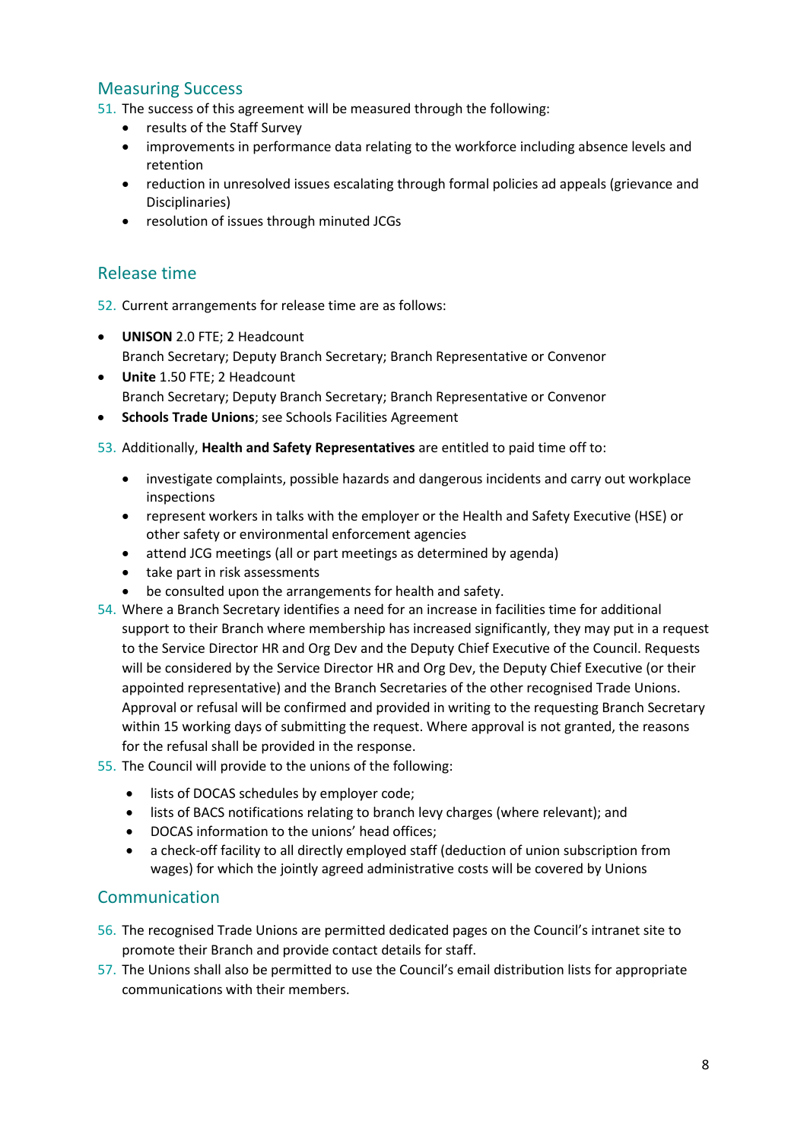# Measuring Success

51. The success of this agreement will be measured through the following:

- results of the Staff Survey
- improvements in performance data relating to the workforce including absence levels and retention
- reduction in unresolved issues escalating through formal policies ad appeals (grievance and Disciplinaries)
- resolution of issues through minuted JCGs

# Release time

52. Current arrangements for release time are as follows:

- **UNISON** 2.0 FTE; 2 Headcount Branch Secretary; Deputy Branch Secretary; Branch Representative or Convenor
- **Unite** 1.50 FTE; 2 Headcount Branch Secretary; Deputy Branch Secretary; Branch Representative or Convenor
- **Schools Trade Unions**; see Schools Facilities Agreement
- 53. Additionally, **Health and Safety Representatives** are entitled to paid time off to:
	- investigate complaints, possible hazards and dangerous incidents and carry out workplace inspections
	- represent workers in talks with the employer or the Health and Safety Executive (HSE) or other safety or environmental enforcement agencies
	- attend JCG meetings (all or part meetings as determined by agenda)
	- take part in risk assessments
	- be consulted upon the arrangements for health and safety.
- 54. Where a Branch Secretary identifies a need for an increase in facilities time for additional support to their Branch where membership has increased significantly, they may put in a request to the Service Director HR and Org Dev and the Deputy Chief Executive of the Council. Requests will be considered by the Service Director HR and Org Dev, the Deputy Chief Executive (or their appointed representative) and the Branch Secretaries of the other recognised Trade Unions. Approval or refusal will be confirmed and provided in writing to the requesting Branch Secretary within 15 working days of submitting the request. Where approval is not granted, the reasons for the refusal shall be provided in the response.
- 55. The Council will provide to the unions of the following:
	- lists of DOCAS schedules by employer code;
	- lists of BACS notifications relating to branch levy charges (where relevant); and
	- DOCAS information to the unions' head offices;
	- a check-off facility to all directly employed staff (deduction of union subscription from wages) for which the jointly agreed administrative costs will be covered by Unions

# Communication

- 56. The recognised Trade Unions are permitted dedicated pages on the Council's intranet site to promote their Branch and provide contact details for staff.
- 57. The Unions shall also be permitted to use the Council's email distribution lists for appropriate communications with their members.